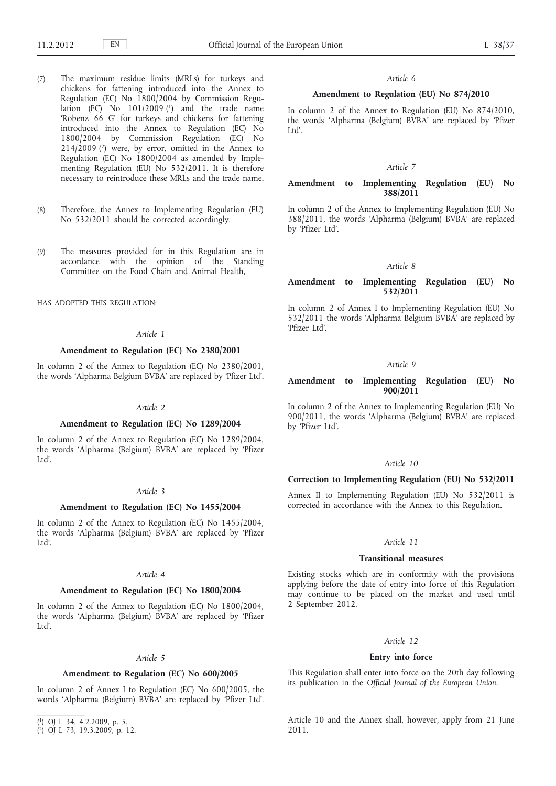- (7) The maximum residue limits (MRLs) for turkeys and chickens for fattening introduced into the Annex to Regulation (EC) No 1800/2004 by Commission Regulation (EC) No  $101/2009$  (1) and the trade name 'Robenz 66 G' for turkeys and chickens for fattening introduced into the Annex to Regulation (EC) No 1800/2004 by Commission Regulation (EC) No  $214/2009$  ( $2$ ) were, by error, omitted in the Annex to Regulation (EC) No 1800/2004 as amended by Implementing Regulation (EU) No 532/2011. It is therefore necessary to reintroduce these MRLs and the trade name.
- (8) Therefore, the Annex to Implementing Regulation (EU) No 532/2011 should be corrected accordingly.
- (9) The measures provided for in this Regulation are in accordance with the opinion of the Standing Committee on the Food Chain and Animal Health,

HAS ADOPTED THIS REGULATION:

#### *Article 1*

### **Amendment to Regulation (EC) No 2380/2001**

In column 2 of the Annex to Regulation (EC) No 2380/2001, the words 'Alpharma Belgium BVBA' are replaced by 'Pfizer Ltd'.

## *Article 2*

## **Amendment to Regulation (EC) No 1289/2004**

In column 2 of the Annex to Regulation (EC) No 1289/2004, the words 'Alpharma (Belgium) BVBA' are replaced by 'Pfizer Ltd'.

## *Article 3*

### **Amendment to Regulation (EC) No 1455/2004**

In column 2 of the Annex to Regulation (EC) No 1455/2004, the words 'Alpharma (Belgium) BVBA' are replaced by 'Pfizer Ltd'.

### *Article 4*

### **Amendment to Regulation (EC) No 1800/2004**

In column 2 of the Annex to Regulation (EC) No 1800/2004, the words 'Alpharma (Belgium) BVBA' are replaced by 'Pfizer Ltd'.

## *Article 5*

### **Amendment to Regulation (EC) No 600/2005**

In column 2 of Annex I to Regulation (EC) No 600/2005, the words 'Alpharma (Belgium) BVBA' are replaced by 'Pfizer Ltd'.

#### *Article 6*

## **Amendment to Regulation (EU) No 874/2010**

In column 2 of the Annex to Regulation (EU) No 874/2010, the words 'Alpharma (Belgium) BVBA' are replaced by 'Pfizer  $Itd'$ 

#### *Article 7*

## **Amendment to Implementing Regulation (EU) No 388/2011**

In column 2 of the Annex to Implementing Regulation (EU) No 388/2011, the words 'Alpharma (Belgium) BVBA' are replaced by 'Pfizer Ltd'.

#### *Article 8*

## **Amendment to Implementing Regulation (EU) No 532/2011**

In column 2 of Annex I to Implementing Regulation (EU) No 532/2011 the words 'Alpharma Belgium BVBA' are replaced by 'Pfizer Ltd'.

#### *Article 9*

## **Amendment to Implementing Regulation (EU) No 900/2011**

In column 2 of the Annex to Implementing Regulation (EU) No 900/2011, the words 'Alpharma (Belgium) BVBA' are replaced by 'Pfizer Ltd'.

### *Article 10*

## **Correction to Implementing Regulation (EU) No 532/2011**

Annex II to Implementing Regulation (EU) No 532/2011 is corrected in accordance with the Annex to this Regulation.

## *Article 11*

#### **Transitional measures**

Existing stocks which are in conformity with the provisions applying before the date of entry into force of this Regulation may continue to be placed on the market and used until 2 September 2012.

#### *Article 12*

### **Entry into force**

This Regulation shall enter into force on the 20th day following its publication in the *Official Journal of the European Union*.

Article 10 and the Annex shall, however, apply from 21 June 2011.

<sup>(</sup> 1) OJ L 34, 4.2.2009, p. 5.

<sup>(</sup> 2) OJ L 73, 19.3.2009, p. 12.